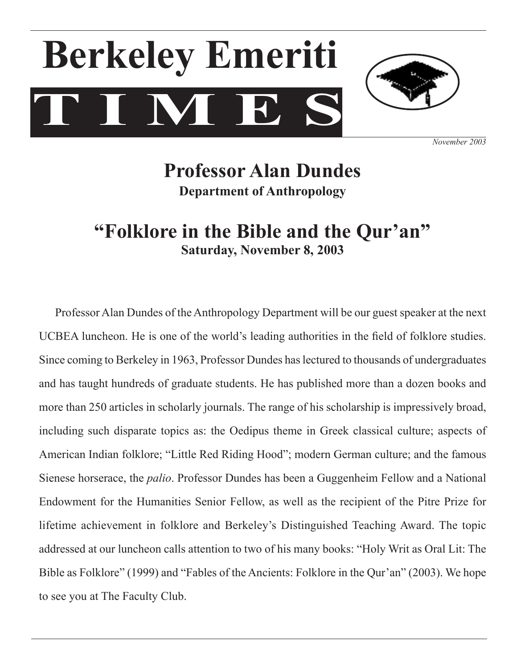# $\mathbf{T} \mathbf{M} \mathbf{E}$ **Berkeley Emeriti**



*November 2003*

### **Professor Alan Dundes Department of Anthropology**

### **"Folklore in the Bible and the Qur'an" Saturday, November 8, 2003**

Professor Alan Dundes of the Anthropology Department will be our guest speaker at the next UCBEA luncheon. He is one of the world's leading authorities in the field of folklore studies. Since coming to Berkeley in 1963, Professor Dundes haslectured to thousands of undergraduates and has taught hundreds of graduate students. He has published more than a dozen books and more than 250 articles in scholarly journals. The range of his scholarship is impressively broad, including such disparate topics as: the Oedipus theme in Greek classical culture; aspects of American Indian folklore; "Little Red Riding Hood"; modern German culture; and the famous Sienese horserace, the *palio*. Professor Dundes has been a Guggenheim Fellow and a National Endowment for the Humanities Senior Fellow, as well as the recipient of the Pitre Prize for lifetime achievement in folklore and Berkeley's Distinguished Teaching Award. The topic addressed at our luncheon calls attention to two of his many books: "Holy Writ as Oral Lit: The Bible as Folklore" (1999) and "Fables of the Ancients: Folklore in the Qur'an" (2003). We hope to see you at The Faculty Club.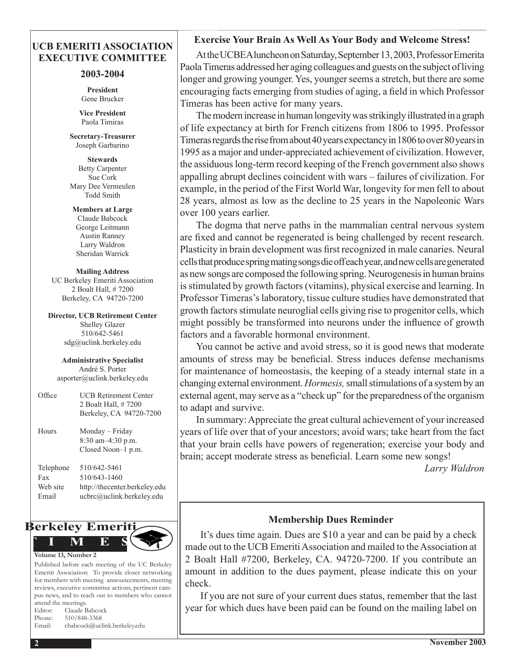### **UCB EMERITI ASSOCIATION EXECUTIVE COMMITTEE**

### **2003-2004**

**President** Gene Brucker

**Vice President** Paola Timiras

**Secretary-Treasurer**  Joseph Garbarino

**Stewards** Betty Carpenter Sue Cork Mary Dee Vermeulen Todd Smith

**Members at Large** Claude Babcock George Leitmann Austin Ranney Larry Waldron Sheridan Warrick

**Mailing Address** UC Berkeley Emeriti Association 2 Boalt Hall, # 7200 Berkeley, CA 94720-7200

**Director, UCB Retirement Center** Shelley Glazer 510/642-5461 sdg@uclink.berkeley.edu

**Administrative Specialist** André S. Porter asporter@uclink.berkeley.edu

| Office                                | <b>UCB Retirement Center</b><br>2 Boalt Hall, # 7200<br>Berkeley, CA 94720-7200            |
|---------------------------------------|--------------------------------------------------------------------------------------------|
| Hours                                 | Monday – Friday<br>$8:30$ am $-4:30$ p.m.<br>Closed Noon-1 p.m.                            |
| Telephone<br>Fax<br>Web site<br>Email | 510/642-5461<br>510/643-1460<br>http://thecenter.berkeley.edu<br>ucbrc@uclink.berkeley.edu |



Published before each meeting of the UC Berkeley Emeriti Association: To provide closer networking for members with meeting announcements, meeting reviews, executive committee actions, pertinent campus news, and to reach out to members who cannot attend the meetings. Editor: Claude Babcock Phone: 510/848-3368 Email: cbabcock@uclink.berkeley.edu

### **Exercise Your Brain As Well As Your Body and Welcome Stress!**

Atthe UCBEA luncheon on Saturday, September 13, 2003, Professor Emerita Paola Timeras addressed her aging colleagues and guests on the subject of living longer and growing younger. Yes, younger seems a stretch, but there are some encouraging facts emerging from studies of aging, a field in which Professor Timeras has been active for many years.

The modern increase in human longevity was strikingly illustrated in a graph of life expectancy at birth for French citizens from 1806 to 1995. Professor Timeras regards the rise from about 40 years expectancy in 1806 to over 80 years in 1995 as a major and under-appreciated achievement of civilization. However, the assiduous long-term record keeping of the French government also shows appalling abrupt declines coincident with wars – failures of civilization. For example, in the period of the First World War, longevity for men fell to about 28 years, almost as low as the decline to 25 years in the Napoleonic Wars over 100 years earlier.

 The dogma that nerve paths in the mammalian central nervous system are fixed and cannot be regenerated is being challenged by recent research. Plasticity in brain development was first recognized in male canaries. Neural cellsthatproducespringmatingsongsdieoffeachyear,andnewcellsaregenerated as newsongs are composed the following spring.Neurogenesisin human brains is stimulated by growth factors (vitamins), physical exercise and learning. In Professor Timeras'slaboratory, tissue culture studies have demonstrated that growth factors stimulate neuroglial cells giving rise to progenitor cells, which might possibly be transformed into neurons under the influence of growth factors and a favorable hormonal environment.

 You cannot be active and avoid stress, so it is good news that moderate amounts of stress may be beneficial. Stress induces defense mechanisms for maintenance of homeostasis, the keeping of a steady internal state in a changing external environment. *Hormesis*, small stimulations of a system by an external agent, may serve as a "check up" for the preparedness of the organism to adapt and survive.

 In summary:Appreciate the great cultural achievement of your increased years of life over that of your ancestors; avoid wars; take heart from the fact that your brain cells have powers of regeneration; exercise your body and brain; accept moderate stress as beneficial. Learn some new songs!

 *Larry Waldron*

### **Membership Dues Reminder**

 It's dues time again. Dues are \$10 a year and can be paid by a check made out to the UCB Emeriti Association and mailed to the Association at 2 Boalt Hall #7200, Berkeley, CA. 94720-7200. If you contribute an amount in addition to the dues payment, please indicate this on your check.

 If you are not sure of your current dues status, remember that the last year for which dues have been paid can be found on the mailing label on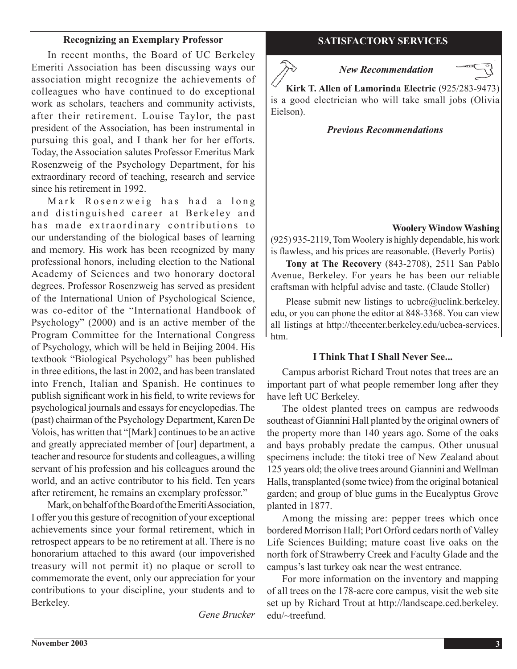### **Recognizing an Exemplary Professor SATISFACTORY SERVICES**

 In recent months, the Board of UC Berkeley Emeriti Association has been discussing ways our association might recognize the achievements of colleagues who have continued to do exceptional work as scholars, teachers and community activists, after their retirement. Louise Taylor, the past president of the Association, has been instrumental in pursuing this goal, and I thank her for her efforts. Today, the Association salutes Professor Emeritus Mark Rosenzweig of the Psychology Department, for his extraordinary record of teaching, research and service since his retirement in 1992.

Mark Rosenzweig has had a long and distinguished career at Berkeley and has made extraordinary contributions to our understanding of the biological bases of learning and memory. His work has been recognized by many professional honors, including election to the National Academy of Sciences and two honorary doctoral degrees. Professor Rosenzweig has served as president of the International Union of Psychological Science, was co-editor of the "International Handbook of Psychology" (2000) and is an active member of the Program Committee for the International Congress of Psychology, which will be held in Beijing 2004. His textbook "Biological Psychology" has been published in three editions, the last in 2002, and has been translated into French, Italian and Spanish. He continues to publish significant work in his field, to write reviews for psychological journals and essays for encyclopedias. The (past) chairman of the Psychology Department, Karen De Volois, has written that "[Mark] continues to be an active and greatly appreciated member of [our] department, a teacher and resource forstudents and colleagues, a willing servant of his profession and his colleagues around the world, and an active contributor to his field. Ten years after retirement, he remains an exemplary professor."

Mark, on behalf of the Board of the Emeriti Association, I offer you this gesture of recognition of your exceptional achievements since your formal retirement, which in retrospect appears to be no retirement at all. There is no honorarium attached to this award (our impoverished treasury will not permit it) no plaque or scroll to commemorate the event, only our appreciation for your contributions to your discipline, your students and to Berkeley.

*Gene Brucker*

### *New Recommendation*



**Kirk T. Allen of Lamorinda Electric** (925/283-9473) is a good electrician who will take small jobs (Olivia Eielson).

### *Previous Recommendations*

### **Woolery Window Washing**

(925) 935-2119,TomWoolery is highly dependable, his work is flawless, and his prices are reasonable. (Beverly Portis)

**Tony at The Recovery** (843-2708), 2511 San Pablo Avenue, Berkeley. For years he has been our reliable craftsman with helpful advise and taste. (Claude Stoller)

Please submit new listings to ucbrc@uclink.berkeley. edu, or you can phone the editor at 848-3368. You can view all listings at http://thecenter.berkeley.edu/ucbea-services. htm.

### **I Think That I Shall Never See...**

 Campus arborist Richard Trout notes that trees are an important part of what people remember long after they have left UC Berkeley.

 The oldest planted trees on campus are redwoods southeast of Giannini Hall planted by the original owners of the property more than 140 years ago. Some of the oaks and bays probably predate the campus. Other unusual specimens include: the titoki tree of New Zealand about 125 years old; the olive trees around Giannini and Wellman Halls, transplanted (some twice) from the original botanical garden; and group of blue gums in the Eucalyptus Grove planted in 1877.

 Among the missing are: pepper trees which once bordered Morrison Hall; Port Orford cedars north of Valley Life Sciences Building; mature coast live oaks on the north fork of Strawberry Creek and Faculty Glade and the campus's last turkey oak near the west entrance.

 For more information on the inventory and mapping of all trees on the 178-acre core campus, visit the web site set up by Richard Trout at http://landscape.ced.berkeley. edu/~treefund.